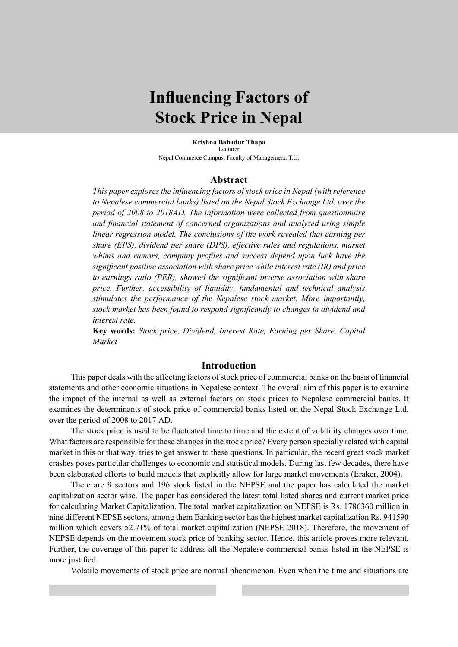# **Influencing Factors of Stock Price in Nepal**

**Krishna Bahadur Thapa** Lecturer Nepal Commerce Campus, Faculty of Management, T.U.

#### **Abstract**

*This paper explores the influencing factors of stock price in Nepal (with reference to Nepalese commercial banks) listed on the Nepal Stock Exchange Ltd. over the period of 2008 to 2018AD. The information were collected from questionnaire and financial statement of concerned organizations and analyzed using simple linear regression model. The conclusions of the work revealed that earning per share (EPS), dividend per share (DPS), effective rules and regulations, market*  whims and rumors, company profiles and success depend upon luck have the *significant positive association with share price while interest rate (IR) and price to earnings ratio (PER), showed the significant inverse association with share price. Further, accessibility of liquidity, fundamental and technical analysis stimulates the performance of the Nepalese stock market. More importantly, stock market has been found to respond significantly to changes in dividend and interest rate.* 

**Key words:** *Stock price, Dividend, Interest Rate, Earning per Share, Capital Market*

### **Introduction**

This paper deals with the affecting factors of stock price of commercial banks on the basis of financial statements and other economic situations in Nepalese context. The overall aim of this paper is to examine the impact of the internal as well as external factors on stock prices to Nepalese commercial banks. It examines the determinants of stock price of commercial banks listed on the Nepal Stock Exchange Ltd. over the period of 2008 to 2017 AD.

The stock price is used to be fluctuated time to time and the extent of volatility changes over time. What factors are responsible for these changes in the stock price? Every person specially related with capital market in this or that way, tries to get answer to these questions. In particular, the recent great stock market crashes poses particular challenges to economic and statistical models. During last few decades, there have been elaborated efforts to build models that explicitly allow for large market movements (Eraker, 2004).

There are 9 sectors and 196 stock listed in the NEPSE and the paper has calculated the market capitalization sector wise. The paper has considered the latest total listed shares and current market price for calculating Market Capitalization. The total market capitalization on NEPSE is Rs. 1786360 million in nine different NEPSE sectors, among them Banking sector has the highest market capitalization Rs. 941590 million which covers 52.71% of total market capitalization (NEPSE 2018). Therefore, the movement of NEPSE depends on the movement stock price of banking sector. Hence, this article proves more relevant. Further, the coverage of this paper to address all the Nepalese commercial banks listed in the NEPSE is more justified.

Volatile movements of stock price are normal phenomenon. Even when the time and situations are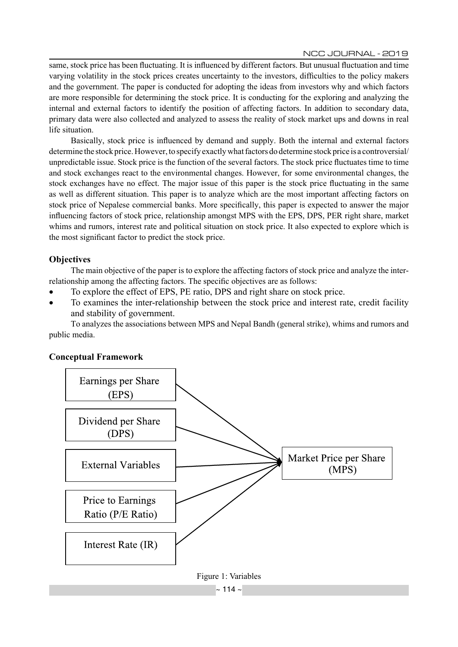NCC JOURNAL - 2019

same, stock price has been fluctuating. It is influenced by different factors. But unusual fluctuation and time varying volatility in the stock prices creates uncertainty to the investors, difficulties to the policy makers and the government. The paper is conducted for adopting the ideas from investors why and which factors are more responsible for determining the stock price. It is conducting for the exploring and analyzing the internal and external factors to identify the position of affecting factors. In addition to secondary data, primary data were also collected and analyzed to assess the reality of stock market ups and downs in real life situation.

Basically, stock price is influenced by demand and supply. Both the internal and external factors determine the stock price. However, to specify exactly what factors do determine stock price is a controversial/ unpredictable issue. Stock price is the function of the several factors. The stock price fluctuates time to time and stock exchanges react to the environmental changes. However, for some environmental changes, the stock exchanges have no effect. The major issue of this paper is the stock price fluctuating in the same as well as different situation. This paper is to analyze which are the most important affecting factors on stock price of Nepalese commercial banks. More specifically, this paper is expected to answer the major influencing factors of stock price, relationship amongst MPS with the EPS, DPS, PER right share, market whims and rumors, interest rate and political situation on stock price. It also expected to explore which is the most significant factor to predict the stock price.

# **Objectives**

The main objective of the paper is to explore the affecting factors of stock price and analyze the interrelationship among the affecting factors. The specific objectives are as follows:

- To explore the effect of EPS, PE ratio, DPS and right share on stock price.
- To examines the inter-relationship between the stock price and interest rate, credit facility and stability of government.

To analyzes the associations between MPS and Nepal Bandh (general strike), whims and rumors and public media.

## **Conceptual Framework**

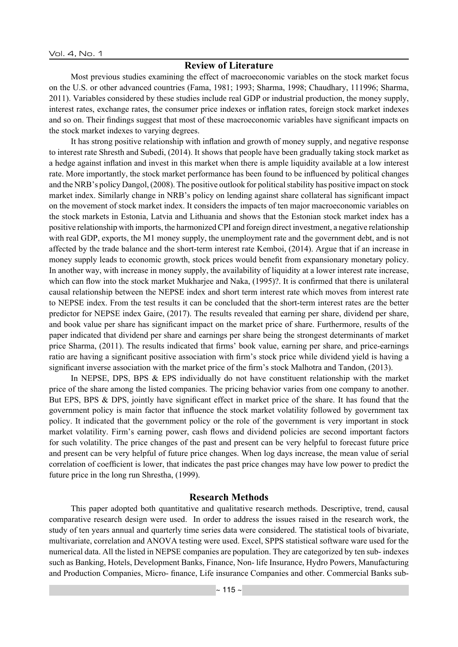## **Review of Literature**

Most previous studies examining the effect of macroeconomic variables on the stock market focus on the U.S. or other advanced countries (Fama, 1981; 1993; Sharma, 1998; Chaudhary, 111996; Sharma, 2011). Variables considered by these studies include real GDP or industrial production, the money supply, interest rates, exchange rates, the consumer price indexes or inflation rates, foreign stock market indexes and so on. Their findings suggest that most of these macroeconomic variables have significant impacts on the stock market indexes to varying degrees.

It has strong positive relationship with inflation and growth of money supply, and negative response to interest rate Shresth and Subedi, (2014). It shows that people have been gradually taking stock market as a hedge against inflation and invest in this market when there is ample liquidity available at a low interest rate. More importantly, the stock market performance has been found to be influenced by political changes and the NRB's policy Dangol, (2008). The positive outlook for political stability has positive impact on stock market index. Similarly change in NRB's policy on lending against share collateral has significant impact on the movement of stock market index. It considers the impacts of ten major macroeconomic variables on the stock markets in Estonia, Latvia and Lithuania and shows that the Estonian stock market index has a positive relationship with imports, the harmonized CPI and foreign direct investment, a negative relationship with real GDP, exports, the M1 money supply, the unemployment rate and the government debt, and is not affected by the trade balance and the short-term interest rate Kemboi, (2014). Argue that if an increase in money supply leads to economic growth, stock prices would benefit from expansionary monetary policy. In another way, with increase in money supply, the availability of liquidity at a lower interest rate increase, which can flow into the stock market Mukharjee and Naka, (1995)?. It is confirmed that there is unilateral causal relationship between the NEPSE index and short term interest rate which moves from interest rate to NEPSE index. From the test results it can be concluded that the short-term interest rates are the better predictor for NEPSE index Gaire, (2017). The results revealed that earning per share, dividend per share, and book value per share has significant impact on the market price of share. Furthermore, results of the paper indicated that dividend per share and earnings per share being the strongest determinants of market price Sharma, (2011). The results indicated that firms' book value, earning per share, and price-earnings ratio are having a significant positive association with firm's stock price while dividend yield is having a significant inverse association with the market price of the firm's stock Malhotra and Tandon, (2013).

In NEPSE, DPS, BPS & EPS individually do not have constituent relationship with the market price of the share among the listed companies. The pricing behavior varies from one company to another. But EPS, BPS & DPS, jointly have significant effect in market price of the share. It has found that the government policy is main factor that influence the stock market volatility followed by government tax policy. It indicated that the government policy or the role of the government is very important in stock market volatility. Firm's earning power, cash flows and dividend policies are second important factors for such volatility. The price changes of the past and present can be very helpful to forecast future price and present can be very helpful of future price changes. When log days increase, the mean value of serial correlation of coefficient is lower, that indicates the past price changes may have low power to predict the future price in the long run Shrestha, (1999).

#### **Research Methods**

This paper adopted both quantitative and qualitative research methods. Descriptive, trend, causal comparative research design were used. In order to address the issues raised in the research work, the study of ten years annual and quarterly time series data were considered. The statistical tools of bivariate, multivariate, correlation and ANOVA testing were used. Excel, SPPS statistical software ware used for the numerical data. All the listed in NEPSE companies are population. They are categorized by ten sub- indexes such as Banking, Hotels, Development Banks, Finance, Non- life Insurance, Hydro Powers, Manufacturing and Production Companies, Micro- finance, Life insurance Companies and other. Commercial Banks sub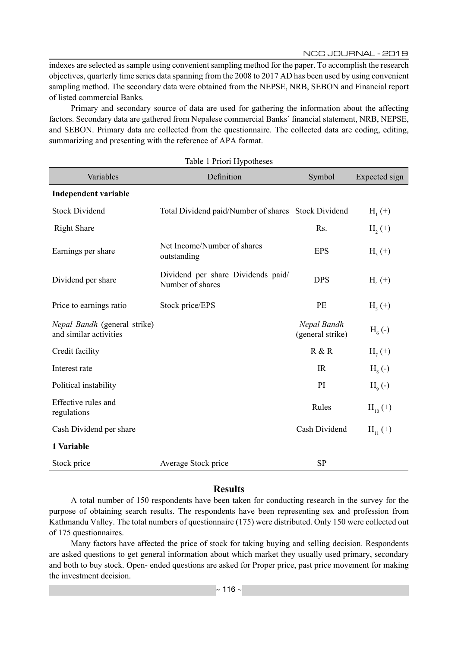indexes are selected as sample using convenient sampling method for the paper. To accomplish the research objectives, quarterly time series data spanning from the 2008 to 2017 AD has been used by using convenient sampling method. The secondary data were obtained from the NEPSE, NRB, SEBON and Financial report of listed commercial Banks.

Primary and secondary source of data are used for gathering the information about the affecting factors. Secondary data are gathered from Nepalese commercial Banks´ financial statement, NRB, NEPSE, and SEBON. Primary data are collected from the questionnaire. The collected data are coding, editing, summarizing and presenting with the reference of APA format.

| Variables                                              | Definition                                             | Symbol                          | Expected sign |
|--------------------------------------------------------|--------------------------------------------------------|---------------------------------|---------------|
| <b>Independent variable</b>                            |                                                        |                                 |               |
| <b>Stock Dividend</b>                                  | Total Dividend paid/Number of shares Stock Dividend    |                                 | $H_1(+)$      |
| <b>Right Share</b>                                     |                                                        | Rs.                             | $H, (+)$      |
| Earnings per share                                     | Net Income/Number of shares<br>outstanding             | <b>EPS</b>                      | $H_3(+)$      |
| Dividend per share                                     | Dividend per share Dividends paid/<br>Number of shares | <b>DPS</b>                      | $H_4(+)$      |
| Price to earnings ratio                                | Stock price/EPS                                        | PE                              | $H_5(+)$      |
| Nepal Bandh (general strike)<br>and similar activities |                                                        | Nepal Bandh<br>(general strike) | $H_6$ (-)     |
| Credit facility                                        |                                                        | R & R                           | $H_7(+)$      |
| Interest rate                                          |                                                        | <b>IR</b>                       | $H8(-)$       |
| Political instability                                  |                                                        | PI                              | $H9(-)$       |
| Effective rules and<br>regulations                     |                                                        | Rules                           | $H_{10}(+)$   |
| Cash Dividend per share                                |                                                        | Cash Dividend                   | $H_{11}(+)$   |
| 1 Variable                                             |                                                        |                                 |               |
| Stock price                                            | Average Stock price                                    | <b>SP</b>                       |               |

# Table 1 Priori Hypotheses

# **Results**

A total number of 150 respondents have been taken for conducting research in the survey for the purpose of obtaining search results. The respondents have been representing sex and profession from Kathmandu Valley. The total numbers of questionnaire (175) were distributed. Only 150 were collected out of 175 questionnaires.

Many factors have affected the price of stock for taking buying and selling decision. Respondents are asked questions to get general information about which market they usually used primary, secondary and both to buy stock. Open- ended questions are asked for Proper price, past price movement for making the investment decision.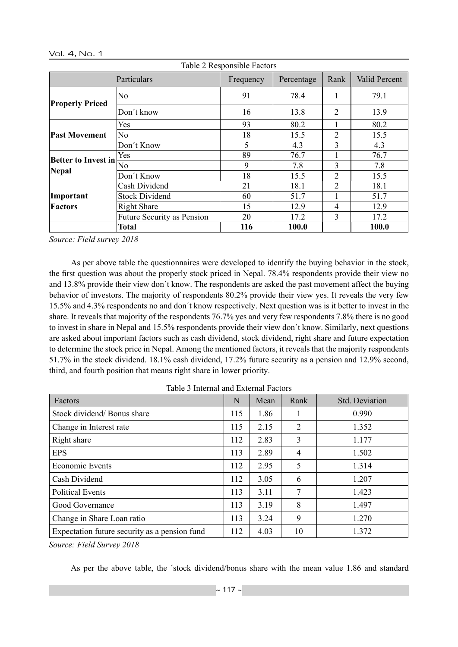| Table 2 Responsible Factors |                                   |           |            |      |               |  |
|-----------------------------|-----------------------------------|-----------|------------|------|---------------|--|
|                             | Particulars                       | Frequency | Percentage | Rank | Valid Percent |  |
| <b>Properly Priced</b>      | No                                | 91        | 78.4       |      | 79.1          |  |
|                             | Don't know                        | 16        | 13.8       | 2    | 13.9          |  |
|                             | Yes                               | 93        | 80.2       | 1    | 80.2          |  |
| <b>Past Movement</b>        | No                                | 18        | 15.5       | 2    | 15.5          |  |
|                             | Don't Know                        | 5         | 4.3        | 3    | 4.3           |  |
| <b>Better to Invest in</b>  | Yes                               | 89        | 76.7       |      | 76.7          |  |
|                             | No                                | 9         | 7.8        | 3    | 7.8           |  |
| Nepal                       | Don't Know                        | 18        | 15.5       | 2    | 15.5          |  |
|                             | Cash Dividend                     | 21        | 18.1       | 2    | 18.1          |  |
| Important                   | <b>Stock Dividend</b>             | 60        | 51.7       |      | 51.7          |  |
| <b>Factors</b>              | <b>Right Share</b>                | 15        | 12.9       | 4    | 12.9          |  |
|                             | <b>Future Security as Pension</b> | 20        | 17.2       | 3    | 17.2          |  |
|                             | Total                             | 116       | 100.0      |      | 100.0         |  |

*Source: Field survey 2018*

As per above table the questionnaires were developed to identify the buying behavior in the stock, the first question was about the properly stock priced in Nepal. 78.4% respondents provide their view no and 13.8% provide their view don´t know. The respondents are asked the past movement affect the buying behavior of investors. The majority of respondents 80.2% provide their view yes. It reveals the very few 15.5% and 4.3% respondents no and don´t know respectively. Next question was is it better to invest in the share. It reveals that majority of the respondents 76.7% yes and very few respondents 7.8% there is no good to invest in share in Nepal and 15.5% respondents provide their view don´t know. Similarly, next questions are asked about important factors such as cash dividend, stock dividend, right share and future expectation to determine the stock price in Nepal. Among the mentioned factors, it reveals that the majority respondents 51.7% in the stock dividend. 18.1% cash dividend, 17.2% future security as a pension and 12.9% second, third, and fourth position that means right share in lower priority.

| таріс з тіңетінің аны таңстінің тасшы         |     |      |      |                |  |  |
|-----------------------------------------------|-----|------|------|----------------|--|--|
| Factors                                       | N   | Mean | Rank | Std. Deviation |  |  |
| Stock dividend/Bonus share                    | 115 | 1.86 |      | 0.990          |  |  |
| Change in Interest rate                       | 115 | 2.15 | 2    | 1.352          |  |  |
| Right share                                   | 112 | 2.83 | 3    | 1.177          |  |  |
| <b>EPS</b>                                    | 113 | 2.89 | 4    | 1.502          |  |  |
| <b>Economic Events</b>                        | 112 | 2.95 | 5    | 1.314          |  |  |
| Cash Dividend                                 | 112 | 3.05 | 6    | 1.207          |  |  |
| <b>Political Events</b>                       | 113 | 3.11 | 7    | 1.423          |  |  |
| Good Governance                               | 113 | 3.19 | 8    | 1.497          |  |  |
| Change in Share Loan ratio                    | 113 | 3.24 | 9    | 1.270          |  |  |
| Expectation future security as a pension fund | 112 | 4.03 | 10   | 1.372          |  |  |

Table 3 Internal and External Factors

*Source: Field Survey 2018*

As per the above table, the ´stock dividend/bonus share with the mean value 1.86 and standard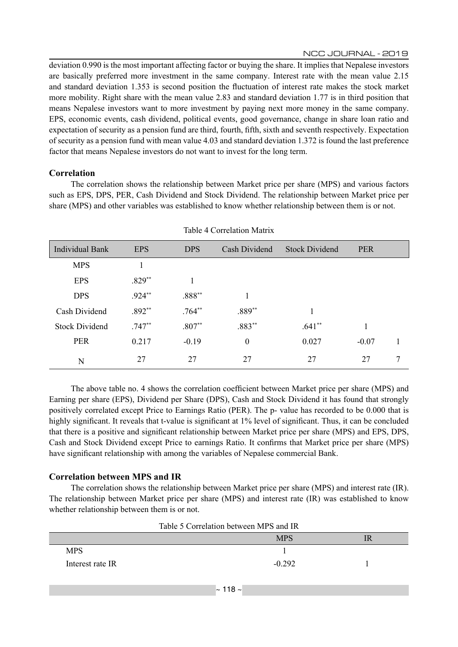deviation 0.990 is the most important affecting factor or buying the share. It implies that Nepalese investors are basically preferred more investment in the same company. Interest rate with the mean value 2.15 and standard deviation 1.353 is second position the fluctuation of interest rate makes the stock market more mobility. Right share with the mean value 2.83 and standard deviation 1.77 is in third position that means Nepalese investors want to more investment by paying next more money in the same company. EPS, economic events, cash dividend, political events, good governance, change in share loan ratio and expectation of security as a pension fund are third, fourth, fifth, sixth and seventh respectively. Expectation of security as a pension fund with mean value 4.03 and standard deviation 1.372 is found the last preference factor that means Nepalese investors do not want to invest for the long term.

# **Correlation**

The correlation shows the relationship between Market price per share (MPS) and various factors such as EPS, DPS, PER, Cash Dividend and Stock Dividend. The relationship between Market price per share (MPS) and other variables was established to know whether relationship between them is or not.

| <b>Individual Bank</b> | <b>EPS</b> | <b>DPS</b> | Cash Dividend    | <b>Stock Dividend</b> | <b>PER</b> |   |
|------------------------|------------|------------|------------------|-----------------------|------------|---|
| <b>MPS</b>             |            |            |                  |                       |            |   |
| <b>EPS</b>             | $.829**$   | 1          |                  |                       |            |   |
| <b>DPS</b>             | $.924**$   | $.888**$   | 1                |                       |            |   |
| Cash Dividend          | $.892**$   | $.764**$   | $.889**$         |                       |            |   |
| <b>Stock Dividend</b>  | $.747**$   | $.807**$   | $.883**$         | $.641**$              | 1          |   |
| <b>PER</b>             | 0.217      | $-0.19$    | $\boldsymbol{0}$ | 0.027                 | $-0.07$    |   |
| N                      | 27         | 27         | 27               | 27                    | 27         | 7 |

Table 4 Correlation Matrix

The above table no. 4 shows the correlation coefficient between Market price per share (MPS) and Earning per share (EPS), Dividend per Share (DPS), Cash and Stock Dividend it has found that strongly positively correlated except Price to Earnings Ratio (PER). The p- value has recorded to be 0.000 that is highly significant. It reveals that t-value is significant at 1% level of significant. Thus, it can be concluded that there is a positive and significant relationship between Market price per share (MPS) and EPS, DPS, Cash and Stock Dividend except Price to earnings Ratio. It confirms that Market price per share (MPS) have significant relationship with among the variables of Nepalese commercial Bank.

# **Correlation between MPS and IR**

The correlation shows the relationship between Market price per share (MPS) and interest rate (IR). The relationship between Market price per share (MPS) and interest rate (IR) was established to know whether relationship between them is or not.

| Table 5 Correlation between MPS and IR |            |    |  |  |  |
|----------------------------------------|------------|----|--|--|--|
|                                        | <b>MPS</b> | IR |  |  |  |
| <b>MPS</b>                             |            |    |  |  |  |
| Interest rate IR                       | $-0.292$   |    |  |  |  |
|                                        |            |    |  |  |  |

Table 5 Correlation between MPS and IR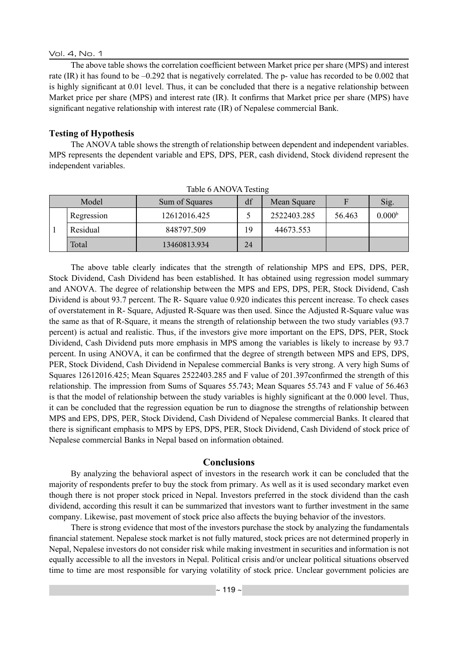#### Vol. 4, No. 1

The above table shows the correlation coefficient between Market price per share (MPS) and interest rate (IR) it has found to be –0.292 that is negatively correlated. The p- value has recorded to be 0.002 that is highly significant at 0.01 level. Thus, it can be concluded that there is a negative relationship between Market price per share (MPS) and interest rate (IR). It confirms that Market price per share (MPS) have significant negative relationship with interest rate (IR) of Nepalese commercial Bank.

# **Testing of Hypothesis**

The ANOVA table shows the strength of relationship between dependent and independent variables. MPS represents the dependent variable and EPS, DPS, PER, cash dividend, Stock dividend represent the independent variables.

| Model |            | Sum of Squares | df | Mean Square | F      | Sig.               |
|-------|------------|----------------|----|-------------|--------|--------------------|
|       | Regression | 12612016.425   |    | 2522403.285 | 56.463 | 0.000 <sup>b</sup> |
|       | Residual   | 848797.509     | 19 | 44673.553   |        |                    |
|       | Total      | 13460813.934   | 24 |             |        |                    |

Table 6 ANOVA Testing

The above table clearly indicates that the strength of relationship MPS and EPS, DPS, PER, Stock Dividend, Cash Dividend has been established. It has obtained using regression model summary and ANOVA. The degree of relationship between the MPS and EPS, DPS, PER, Stock Dividend, Cash Dividend is about 93.7 percent. The R- Square value 0.920 indicates this percent increase. To check cases of overstatement in R- Square, Adjusted R-Square was then used. Since the Adjusted R-Square value was the same as that of R-Square, it means the strength of relationship between the two study variables (93.7 percent) is actual and realistic. Thus, if the investors give more important on the EPS, DPS, PER, Stock Dividend, Cash Dividend puts more emphasis in MPS among the variables is likely to increase by 93.7 percent. In using ANOVA, it can be confirmed that the degree of strength between MPS and EPS, DPS, PER, Stock Dividend, Cash Dividend in Nepalese commercial Banks is very strong. A very high Sums of Squares 12612016.425; Mean Squares 2522403.285 and F value of 201.397confirmed the strength of this relationship. The impression from Sums of Squares 55.743; Mean Squares 55.743 and F value of 56.463 is that the model of relationship between the study variables is highly significant at the 0.000 level. Thus, it can be concluded that the regression equation be run to diagnose the strengths of relationship between MPS and EPS, DPS, PER, Stock Dividend, Cash Dividend of Nepalese commercial Banks. It cleared that there is significant emphasis to MPS by EPS, DPS, PER, Stock Dividend, Cash Dividend of stock price of Nepalese commercial Banks in Nepal based on information obtained.

# **Conclusions**

By analyzing the behavioral aspect of investors in the research work it can be concluded that the majority of respondents prefer to buy the stock from primary. As well as it is used secondary market even though there is not proper stock priced in Nepal. Investors preferred in the stock dividend than the cash dividend, according this result it can be summarized that investors want to further investment in the same company. Likewise, past movement of stock price also affects the buying behavior of the investors.

There is strong evidence that most of the investors purchase the stock by analyzing the fundamentals financial statement. Nepalese stock market is not fully matured, stock prices are not determined properly in Nepal, Nepalese investors do not consider risk while making investment in securities and information is not equally accessible to all the investors in Nepal. Political crisis and/or unclear political situations observed time to time are most responsible for varying volatility of stock price. Unclear government policies are